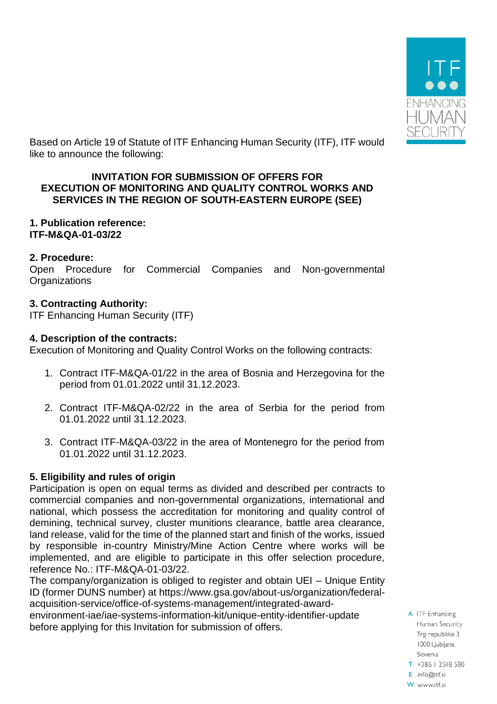

Based on Article 19 of Statute of ITF Enhancing Human Security (ITF), ITF would like to announce the following:

### **INVITATION FOR SUBMISSION OF OFFERS FOR EXECUTION OF MONITORING AND QUALITY CONTROL WORKS AND SERVICES IN THE REGION OF SOUTH-EASTERN EUROPE (SEE)**

## **1. Publication reference: ITF-M&QA-01-03/22**

## **2. Procedure:**

Open Procedure for Commercial Companies and Non-governmental **Organizations** 

## **3. Contracting Authority:**

ITF Enhancing Human Security (ITF)

### **4. Description of the contracts:**

Execution of Monitoring and Quality Control Works on the following contracts:

- 1. Contract ITF-M&QA-01/22 in the area of Bosnia and Herzegovina for the period from 01.01.2022 until 31.12.2023.
- 2. Contract ITF-M&QA-02/22 in the area of Serbia for the period from 01.01.2022 until 31.12.2023.
- 3. Contract ITF-M&QA-03/22 in the area of Montenegro for the period from 01.01.2022 until 31.12.2023.

# **5. Eligibility and rules of origin**

Participation is open on equal terms as divided and described per contracts to commercial companies and non-governmental organizations, international and national, which possess the accreditation for monitoring and quality control of demining, technical survey, cluster munitions clearance, battle area clearance, land release, valid for the time of the planned start and finish of the works, issued by responsible in-country Ministry/Mine Action Centre where works will be implemented, and are eligible to participate in this offer selection procedure, reference No.: ITF-M&QA-01-03/22.

The company/organization is obliged to register and obtain UEI – Unique Entity ID (former DUNS number) at https://www.gsa.gov/about-us/organization/federalacquisition-service/office-of-systems-management/integrated-award-

environment-iae/iae-systems-information-kit/unique-entity-identifier-update before applying for this Invitation for submission of offers.

A ITF Enhancing Human Security Trg republike 3 1000 Ljubljana Slovenia

- T +386 | 2518 580
- E info@itf.si W www.itf.si